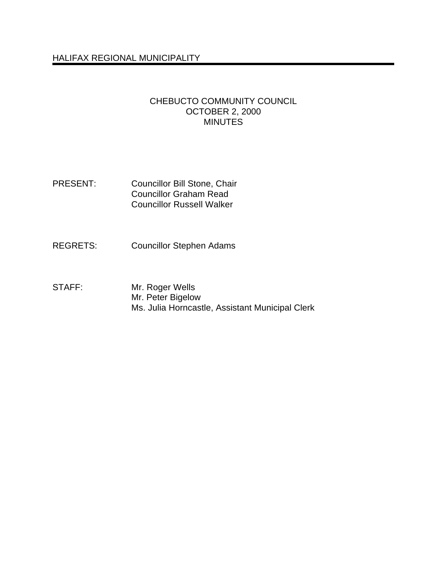# HALIFAX REGIONAL MUNICIPALITY

#### CHEBUCTO COMMUNITY COUNCIL OCTOBER 2, 2000 MINUTES

- PRESENT: Councillor Bill Stone, Chair Councillor Graham Read Councillor Russell Walker
- REGRETS: Councillor Stephen Adams
- STAFF: Mr. Roger Wells Mr. Peter Bigelow Ms. Julia Horncastle, Assistant Municipal Clerk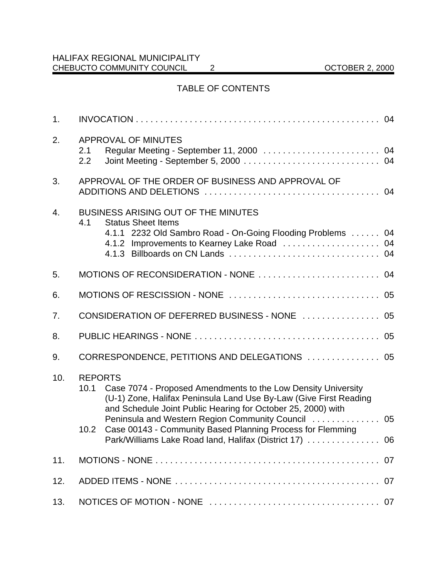# TABLE OF CONTENTS

| 1.  |                                                                                                                                                                                                                                                                                                                                                                                                                              |    |  |  |  |  |  |  |
|-----|------------------------------------------------------------------------------------------------------------------------------------------------------------------------------------------------------------------------------------------------------------------------------------------------------------------------------------------------------------------------------------------------------------------------------|----|--|--|--|--|--|--|
| 2.  | APPROVAL OF MINUTES<br>2.1<br>2.2                                                                                                                                                                                                                                                                                                                                                                                            |    |  |  |  |  |  |  |
| 3.  | APPROVAL OF THE ORDER OF BUSINESS AND APPROVAL OF                                                                                                                                                                                                                                                                                                                                                                            |    |  |  |  |  |  |  |
| 4.  | <b>BUSINESS ARISING OUT OF THE MINUTES</b><br>4.1<br><b>Status Sheet Items</b><br>4.1.1 2232 Old Sambro Road - On-Going Flooding Problems 04                                                                                                                                                                                                                                                                                 |    |  |  |  |  |  |  |
| 5.  |                                                                                                                                                                                                                                                                                                                                                                                                                              |    |  |  |  |  |  |  |
| 6.  |                                                                                                                                                                                                                                                                                                                                                                                                                              |    |  |  |  |  |  |  |
| 7.  | CONSIDERATION OF DEFERRED BUSINESS - NONE  05                                                                                                                                                                                                                                                                                                                                                                                |    |  |  |  |  |  |  |
| 8.  |                                                                                                                                                                                                                                                                                                                                                                                                                              |    |  |  |  |  |  |  |
| 9.  | CORRESPONDENCE, PETITIONS AND DELEGATIONS  05                                                                                                                                                                                                                                                                                                                                                                                |    |  |  |  |  |  |  |
| 10. | <b>REPORTS</b><br>Case 7074 - Proposed Amendments to the Low Density University<br>10.1<br>(U-1) Zone, Halifax Peninsula Land Use By-Law (Give First Reading<br>and Schedule Joint Public Hearing for October 25, 2000) with<br>Peninsula and Western Region Community Council  05<br>Case 00143 - Community Based Planning Process for Flemming<br>10.2 <sub>1</sub><br>Park/Williams Lake Road land, Halifax (District 17) | 06 |  |  |  |  |  |  |
| 11. |                                                                                                                                                                                                                                                                                                                                                                                                                              |    |  |  |  |  |  |  |
| 12. |                                                                                                                                                                                                                                                                                                                                                                                                                              |    |  |  |  |  |  |  |
| 13. |                                                                                                                                                                                                                                                                                                                                                                                                                              |    |  |  |  |  |  |  |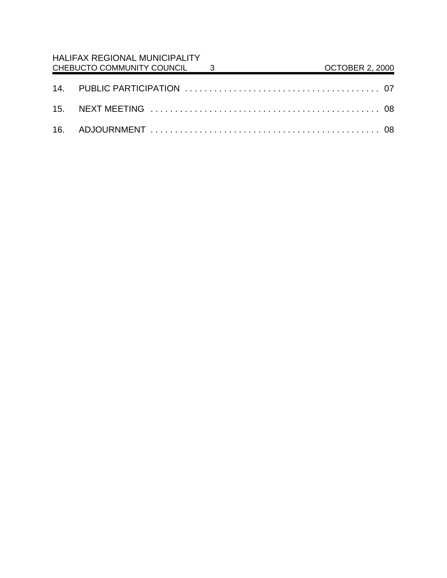| HALIFAX REGIONAL MUNICIPALITY<br>CHEBUCTO COMMUNITY COUNCIL 3 |  |  | <b>OCTOBER 2, 2000</b> |  |
|---------------------------------------------------------------|--|--|------------------------|--|
|                                                               |  |  |                        |  |
|                                                               |  |  |                        |  |
|                                                               |  |  |                        |  |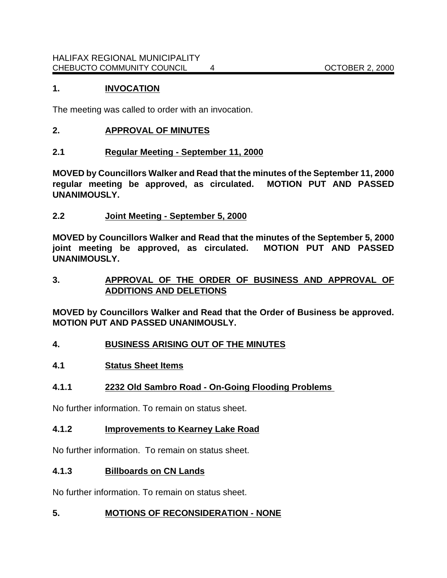## **1. INVOCATION**

The meeting was called to order with an invocation.

## **2. APPROVAL OF MINUTES**

### **2.1 Regular Meeting - September 11, 2000**

**MOVED by Councillors Walker and Read that the minutes of the September 11, 2000 regular meeting be approved, as circulated. MOTION PUT AND PASSED UNANIMOUSLY.**

# **2.2 Joint Meeting - September 5, 2000**

**MOVED by Councillors Walker and Read that the minutes of the September 5, 2000 joint meeting be approved, as circulated. MOTION PUT AND PASSED UNANIMOUSLY.** 

# **3. APPROVAL OF THE ORDER OF BUSINESS AND APPROVAL OF ADDITIONS AND DELETIONS**

**MOVED by Councillors Walker and Read that the Order of Business be approved. MOTION PUT AND PASSED UNANIMOUSLY.**

# **4. BUSINESS ARISING OUT OF THE MINUTES**

### **4.1 Status Sheet Items**

### **4.1.1 2232 Old Sambro Road - On-Going Flooding Problems**

No further information. To remain on status sheet.

### **4.1.2 Improvements to Kearney Lake Road**

No further information. To remain on status sheet.

### **4.1.3 Billboards on CN Lands**

No further information. To remain on status sheet.

### **5. MOTIONS OF RECONSIDERATION - NONE**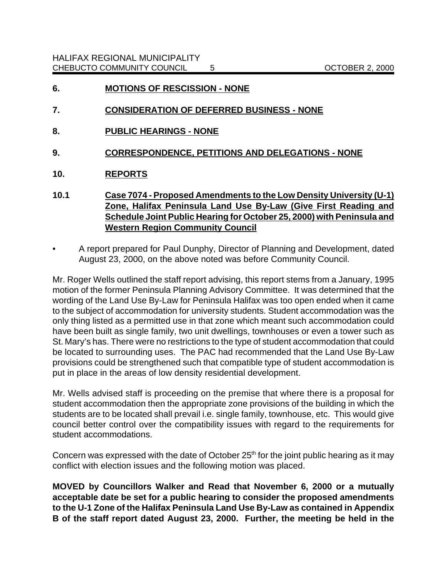- **6. MOTIONS OF RESCISSION NONE**
- **7. CONSIDERATION OF DEFERRED BUSINESS NONE**
- **8. PUBLIC HEARINGS NONE**
- **9. CORRESPONDENCE, PETITIONS AND DELEGATIONS NONE**
- **10. REPORTS**
- **10.1 Case 7074 Proposed Amendments to the Low Density University (U-1) Zone, Halifax Peninsula Land Use By-Law (Give First Reading and Schedule Joint Public Hearing for October 25, 2000) with Peninsula and Western Region Community Council**
- A report prepared for Paul Dunphy, Director of Planning and Development, dated August 23, 2000, on the above noted was before Community Council.

Mr. Roger Wells outlined the staff report advising, this report stems from a January, 1995 motion of the former Peninsula Planning Advisory Committee. It was determined that the wording of the Land Use By-Law for Peninsula Halifax was too open ended when it came to the subject of accommodation for university students. Student accommodation was the only thing listed as a permitted use in that zone which meant such accommodation could have been built as single family, two unit dwellings, townhouses or even a tower such as St. Mary's has. There were no restrictions to the type of student accommodation that could be located to surrounding uses. The PAC had recommended that the Land Use By-Law provisions could be strengthened such that compatible type of student accommodation is put in place in the areas of low density residential development.

Mr. Wells advised staff is proceeding on the premise that where there is a proposal for student accommodation then the appropriate zone provisions of the building in which the students are to be located shall prevail i.e. single family, townhouse, etc. This would give council better control over the compatibility issues with regard to the requirements for student accommodations.

Concern was expressed with the date of October  $25<sup>th</sup>$  for the joint public hearing as it may conflict with election issues and the following motion was placed.

**MOVED by Councillors Walker and Read that November 6, 2000 or a mutually acceptable date be set for a public hearing to consider the proposed amendments to the U-1 Zone of the Halifax Peninsula Land Use By-Law as contained in Appendix B of the staff report dated August 23, 2000. Further, the meeting be held in the**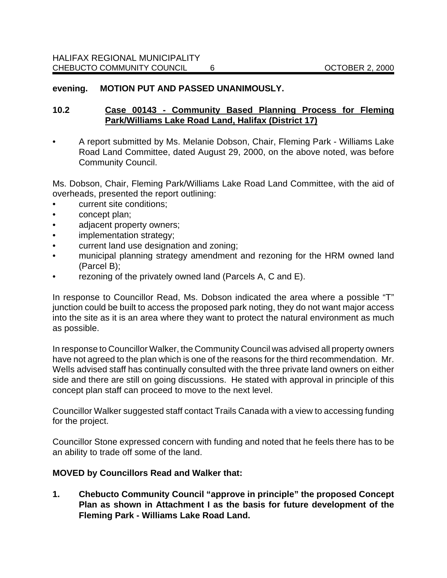#### **evening. MOTION PUT AND PASSED UNANIMOUSLY.**

### **10.2 Case 00143 - Community Based Planning Process for Fleming Park/Williams Lake Road Land, Halifax (District 17)**

• A report submitted by Ms. Melanie Dobson, Chair, Fleming Park - Williams Lake Road Land Committee, dated August 29, 2000, on the above noted, was before Community Council.

Ms. Dobson, Chair, Fleming Park/Williams Lake Road Land Committee, with the aid of overheads, presented the report outlining:

- current site conditions;
- concept plan;
- adjacent property owners;
- implementation strategy;
- current land use designation and zoning;
- municipal planning strategy amendment and rezoning for the HRM owned land (Parcel B);
- rezoning of the privately owned land (Parcels A, C and E).

In response to Councillor Read, Ms. Dobson indicated the area where a possible "T" junction could be built to access the proposed park noting, they do not want major access into the site as it is an area where they want to protect the natural environment as much as possible.

In response to Councillor Walker, the Community Council was advised all property owners have not agreed to the plan which is one of the reasons for the third recommendation. Mr. Wells advised staff has continually consulted with the three private land owners on either side and there are still on going discussions. He stated with approval in principle of this concept plan staff can proceed to move to the next level.

Councillor Walker suggested staff contact Trails Canada with a view to accessing funding for the project.

Councillor Stone expressed concern with funding and noted that he feels there has to be an ability to trade off some of the land.

#### **MOVED by Councillors Read and Walker that:**

**1. Chebucto Community Council "approve in principle" the proposed Concept Plan as shown in Attachment I as the basis for future development of the Fleming Park - Williams Lake Road Land.**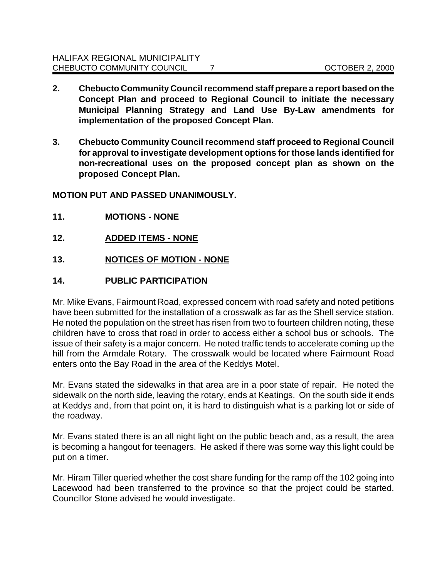- **2. Chebucto Community Council recommend staff prepare a report based on the Concept Plan and proceed to Regional Council to initiate the necessary Municipal Planning Strategy and Land Use By-Law amendments for implementation of the proposed Concept Plan.**
- **3. Chebucto Community Council recommend staff proceed to Regional Council for approval to investigate development options for those lands identified for non-recreational uses on the proposed concept plan as shown on the proposed Concept Plan.**

**MOTION PUT AND PASSED UNANIMOUSLY.**

- **11. MOTIONS NONE**
- **12. ADDED ITEMS NONE**
- **13. NOTICES OF MOTION NONE**
- **14. PUBLIC PARTICIPATION**

Mr. Mike Evans, Fairmount Road, expressed concern with road safety and noted petitions have been submitted for the installation of a crosswalk as far as the Shell service station. He noted the population on the street has risen from two to fourteen children noting, these children have to cross that road in order to access either a school bus or schools. The issue of their safety is a major concern. He noted traffic tends to accelerate coming up the hill from the Armdale Rotary. The crosswalk would be located where Fairmount Road enters onto the Bay Road in the area of the Keddys Motel.

Mr. Evans stated the sidewalks in that area are in a poor state of repair. He noted the sidewalk on the north side, leaving the rotary, ends at Keatings. On the south side it ends at Keddys and, from that point on, it is hard to distinguish what is a parking lot or side of the roadway.

Mr. Evans stated there is an all night light on the public beach and, as a result, the area is becoming a hangout for teenagers. He asked if there was some way this light could be put on a timer.

Mr. Hiram Tiller queried whether the cost share funding for the ramp off the 102 going into Lacewood had been transferred to the province so that the project could be started. Councillor Stone advised he would investigate.